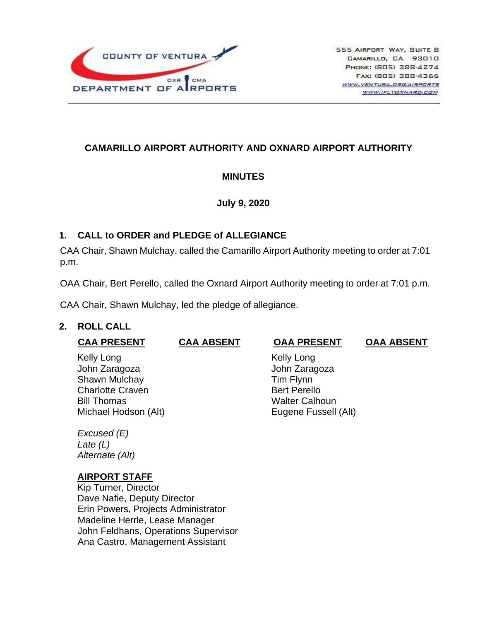

# **CAMARILLO AIRPORT AUTHORITY AND OXNARD AIRPORT AUTHORITY**

## **MINUTES**

### **July 9, 2020**

## **1. CALL to ORDER and PLEDGE of ALLEGIANCE**

CAA Chair, Shawn Mulchay, called the Camarillo Airport Authority meeting to order at 7:01 p.m.

OAA Chair, Bert Perello, called the Oxnard Airport Authority meeting to order at 7:01 p.m.

CAA Chair, Shawn Mulchay, led the pledge of allegiance.

## **2. ROLL CALL**

| <b>CAA PRESENT</b>             | <b>CAA ABSENT</b> | <b>OAA PRESENT</b>         | <b>OAA ABSENT</b> |
|--------------------------------|-------------------|----------------------------|-------------------|
| Kelly Long                     |                   | <b>Kelly Long</b>          |                   |
| John Zaragoza<br>Shawn Mulchay |                   | John Zaragoza<br>Tim Flynn |                   |
| <b>Charlotte Craven</b>        |                   | <b>Bert Perello</b>        |                   |
| <b>Bill Thomas</b>             |                   | <b>Walter Calhoun</b>      |                   |
| Michael Hodson (Alt)           |                   | Eugene Fussell (Alt)       |                   |
| Excused (E)                    |                   |                            |                   |
| Late (L)                       |                   |                            |                   |

*Alternate (Alt)*

#### **AIRPORT STAFF**

Kip Turner, Director Dave Nafie, Deputy Director Erin Powers, Projects Administrator Madeline Herrle, Lease Manager John Feldhans, Operations Supervisor Ana Castro, Management Assistant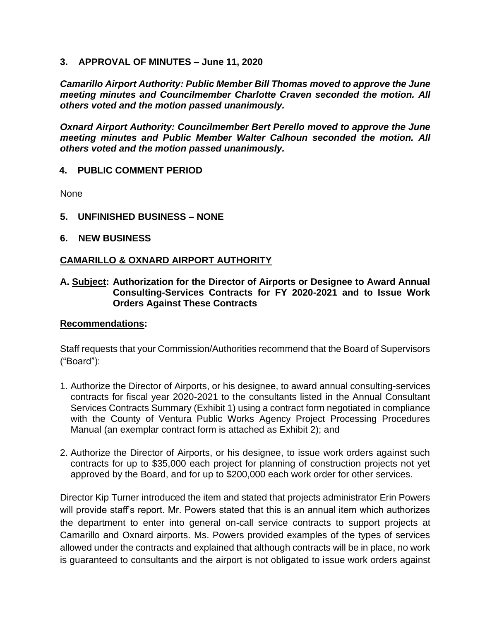#### **3. APPROVAL OF MINUTES – June 11, 2020**

*Camarillo Airport Authority: Public Member Bill Thomas moved to approve the June meeting minutes and Councilmember Charlotte Craven seconded the motion. All others voted and the motion passed unanimously.*

*Oxnard Airport Authority: Councilmember Bert Perello moved to approve the June meeting minutes and Public Member Walter Calhoun seconded the motion. All others voted and the motion passed unanimously.*

### **4. PUBLIC COMMENT PERIOD**

None

- **5. UNFINISHED BUSINESS – NONE**
- **6. NEW BUSINESS**

### **CAMARILLO & OXNARD AIRPORT AUTHORITY**

#### **A. Subject: Authorization for the Director of Airports or Designee to Award Annual Consulting-Services Contracts for FY 2020-2021 and to Issue Work Orders Against These Contracts**

#### **Recommendations:**

Staff requests that your Commission/Authorities recommend that the Board of Supervisors ("Board"):

- 1. Authorize the Director of Airports, or his designee, to award annual consulting-services contracts for fiscal year 2020-2021 to the consultants listed in the Annual Consultant Services Contracts Summary (Exhibit 1) using a contract form negotiated in compliance with the County of Ventura Public Works Agency Project Processing Procedures Manual (an exemplar contract form is attached as Exhibit 2); and
- 2. Authorize the Director of Airports, or his designee, to issue work orders against such contracts for up to \$35,000 each project for planning of construction projects not yet approved by the Board, and for up to \$200,000 each work order for other services.

Director Kip Turner introduced the item and stated that projects administrator Erin Powers will provide staff's report. Mr. Powers stated that this is an annual item which authorizes the department to enter into general on-call service contracts to support projects at Camarillo and Oxnard airports. Ms. Powers provided examples of the types of services allowed under the contracts and explained that although contracts will be in place, no work is guaranteed to consultants and the airport is not obligated to issue work orders against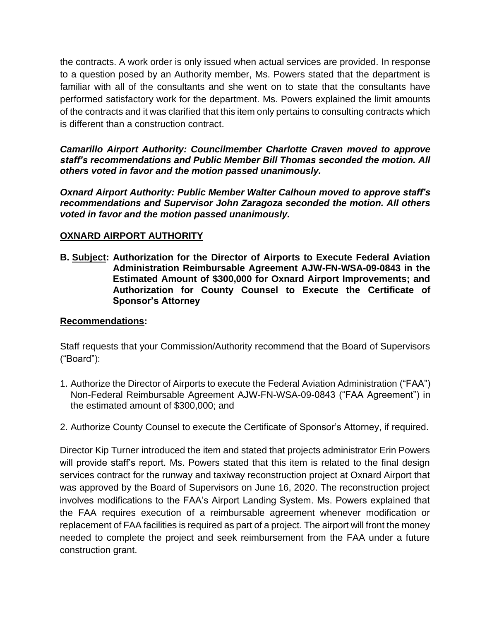the contracts. A work order is only issued when actual services are provided. In response to a question posed by an Authority member, Ms. Powers stated that the department is familiar with all of the consultants and she went on to state that the consultants have performed satisfactory work for the department. Ms. Powers explained the limit amounts of the contracts and it was clarified that this item only pertains to consulting contracts which is different than a construction contract.

*Camarillo Airport Authority: Councilmember Charlotte Craven moved to approve staff's recommendations and Public Member Bill Thomas seconded the motion. All others voted in favor and the motion passed unanimously.*

*Oxnard Airport Authority: Public Member Walter Calhoun moved to approve staff's recommendations and Supervisor John Zaragoza seconded the motion. All others voted in favor and the motion passed unanimously.*

### **OXNARD AIRPORT AUTHORITY**

**B. Subject: Authorization for the Director of Airports to Execute Federal Aviation Administration Reimbursable Agreement AJW-FN-WSA-09-0843 in the Estimated Amount of \$300,000 for Oxnard Airport Improvements; and Authorization for County Counsel to Execute the Certificate of Sponsor's Attorney**

## **Recommendations:**

Staff requests that your Commission/Authority recommend that the Board of Supervisors ("Board"):

- 1. Authorize the Director of Airports to execute the Federal Aviation Administration ("FAA") Non-Federal Reimbursable Agreement AJW-FN-WSA-09-0843 ("FAA Agreement") in the estimated amount of \$300,000; and
- 2. Authorize County Counsel to execute the Certificate of Sponsor's Attorney, if required.

Director Kip Turner introduced the item and stated that projects administrator Erin Powers will provide staff's report. Ms. Powers stated that this item is related to the final design services contract for the runway and taxiway reconstruction project at Oxnard Airport that was approved by the Board of Supervisors on June 16, 2020. The reconstruction project involves modifications to the FAA's Airport Landing System. Ms. Powers explained that the FAA requires execution of a reimbursable agreement whenever modification or replacement of FAA facilities is required as part of a project. The airport will front the money needed to complete the project and seek reimbursement from the FAA under a future construction grant.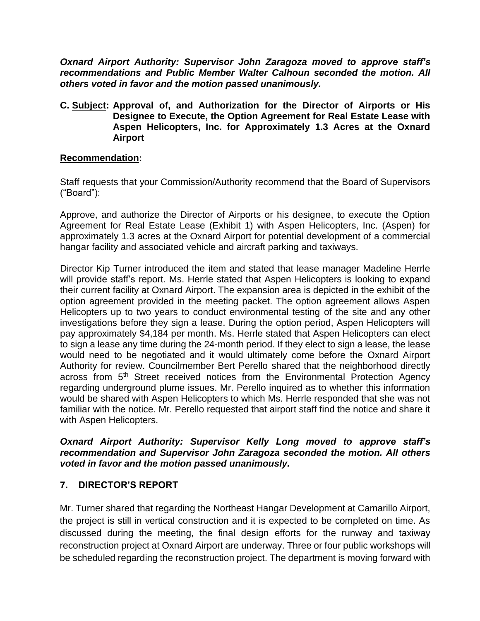*Oxnard Airport Authority: Supervisor John Zaragoza moved to approve staff's recommendations and Public Member Walter Calhoun seconded the motion. All others voted in favor and the motion passed unanimously.*

**C. Subject: Approval of, and Authorization for the Director of Airports or His Designee to Execute, the Option Agreement for Real Estate Lease with Aspen Helicopters, Inc. for Approximately 1.3 Acres at the Oxnard Airport**

### **Recommendation:**

Staff requests that your Commission/Authority recommend that the Board of Supervisors ("Board"):

Approve, and authorize the Director of Airports or his designee, to execute the Option Agreement for Real Estate Lease (Exhibit 1) with Aspen Helicopters, Inc. (Aspen) for approximately 1.3 acres at the Oxnard Airport for potential development of a commercial hangar facility and associated vehicle and aircraft parking and taxiways.

Director Kip Turner introduced the item and stated that lease manager Madeline Herrle will provide staff's report. Ms. Herrle stated that Aspen Helicopters is looking to expand their current facility at Oxnard Airport. The expansion area is depicted in the exhibit of the option agreement provided in the meeting packet. The option agreement allows Aspen Helicopters up to two years to conduct environmental testing of the site and any other investigations before they sign a lease. During the option period, Aspen Helicopters will pay approximately \$4,184 per month. Ms. Herrle stated that Aspen Helicopters can elect to sign a lease any time during the 24-month period. If they elect to sign a lease, the lease would need to be negotiated and it would ultimately come before the Oxnard Airport Authority for review. Councilmember Bert Perello shared that the neighborhood directly across from 5<sup>th</sup> Street received notices from the Environmental Protection Agency regarding underground plume issues. Mr. Perello inquired as to whether this information would be shared with Aspen Helicopters to which Ms. Herrle responded that she was not familiar with the notice. Mr. Perello requested that airport staff find the notice and share it with Aspen Helicopters.

#### *Oxnard Airport Authority: Supervisor Kelly Long moved to approve staff's recommendation and Supervisor John Zaragoza seconded the motion. All others voted in favor and the motion passed unanimously.*

## **7. DIRECTOR'S REPORT**

Mr. Turner shared that regarding the Northeast Hangar Development at Camarillo Airport, the project is still in vertical construction and it is expected to be completed on time. As discussed during the meeting, the final design efforts for the runway and taxiway reconstruction project at Oxnard Airport are underway. Three or four public workshops will be scheduled regarding the reconstruction project. The department is moving forward with